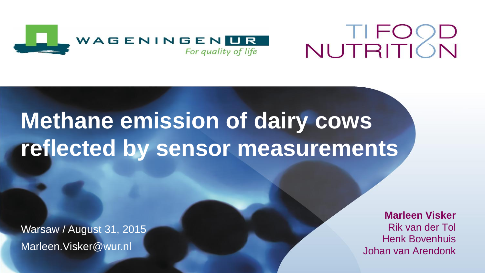

# NUTRITION

# **Methane emission of dairy cows reflected by sensor measurements**

Warsaw / August 31, 2015 Marleen.Visker@wur.nl

**Marleen Visker** Rik van der Tol Henk Bovenhuis Johan van Arendonk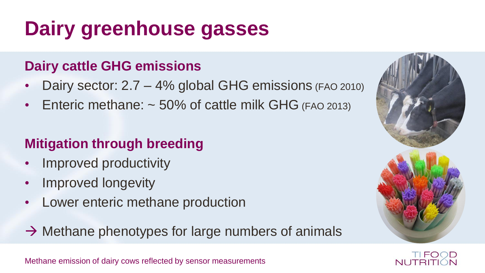# **Dairy greenhouse gasses**

### **Dairy cattle GHG emissions**

- Dairy sector: 2.7 4% global GHG emissions (FAO 2010)
- Enteric methane:  $\sim$  50% of cattle milk GHG (FAO 2013)

### **Mitigation through breeding**

- Improved productivity
- Improved longevity
- Lower enteric methane production
- $\rightarrow$  Methane phenotypes for large numbers of animals





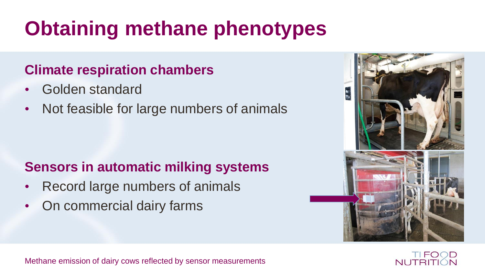# **Obtaining methane phenotypes**

#### **Climate respiration chambers**

- Golden standard
- Not feasible for large numbers of animals

### **Sensors in automatic milking systems**

- Record large numbers of animals
- On commercial dairy farms



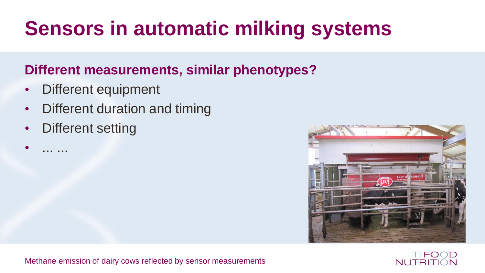# **Sensors in automatic milking systems**

#### **Different measurements, similar phenotypes?**

- Different equipment
- Different duration and timing
- **Different setting**

• ... ...



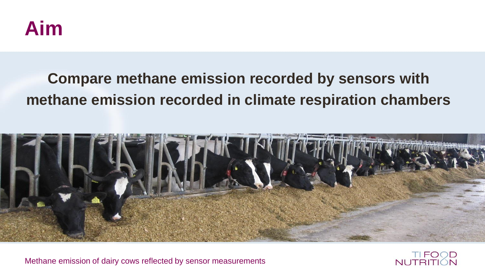

### **Compare methane emission recorded by sensors with methane emission recorded in climate respiration chambers**



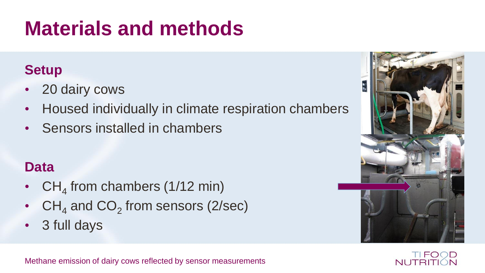# **Materials and methods**

### **Setup**

- 20 dairy cows
- Housed individually in climate respiration chambers
- Sensors installed in chambers

#### **Data**

- CH<sub>4</sub> from chambers (1/12 min)
- $CH_4$  and  $CO_2$  from sensors (2/sec)
- 3 full days



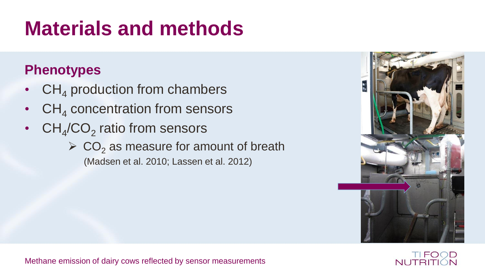# **Materials and methods**

### **Phenotypes**

- $CH<sub>4</sub>$  production from chambers
- $CH<sub>4</sub>$  concentration from sensors
- $CH_4/CO_2$  ratio from sensors
	- $\triangleright$  CO<sub>2</sub> as measure for amount of breath (Madsen et al. 2010; Lassen et al. 2012)



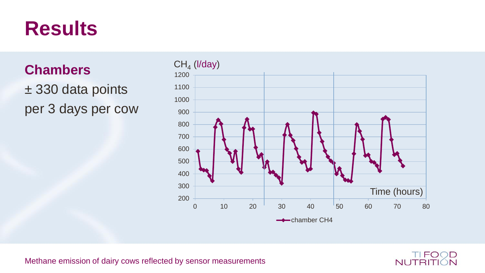### **Results**

**Chambers** ± 330 data points per 3 days per cow



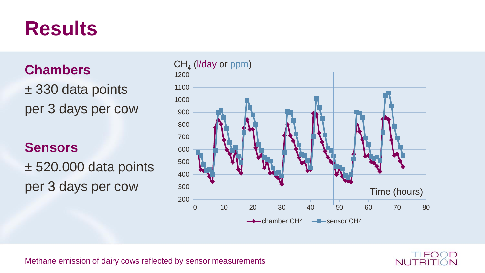### **Results**

**Chambers**

± 330 data points per 3 days per cow

#### **Sensors**

± 520.000 data points per 3 days per cow



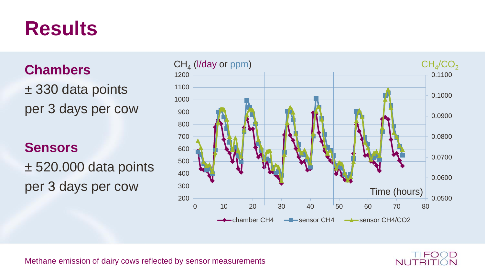### **Results**

**Chambers**

± 330 data points per 3 days per cow

#### **Sensors**

± 520.000 data points per 3 days per cow



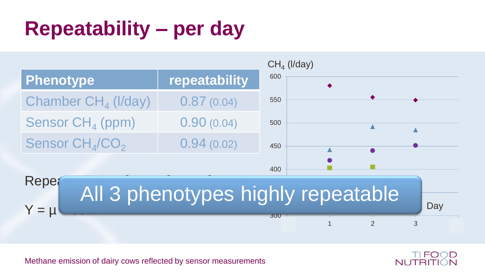# **Repeatability – per day**



Methane emission of dairy cows reflected by sensor measurements

TIFOOD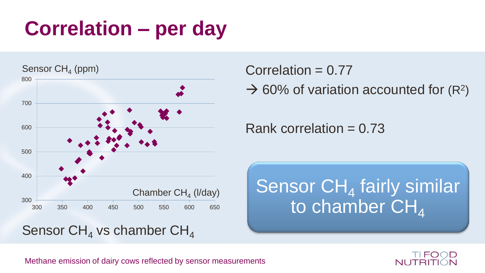# **Correlation – per day**



Correlation  $= 0.77$ 

 $\rightarrow$  60% of variation accounted for (R<sup>2</sup>)

Rank correlation  $= 0.73$ 

Sensor  $CH<sub>4</sub>$  fairly similar to chamber  $CH<sub>4</sub>$ 

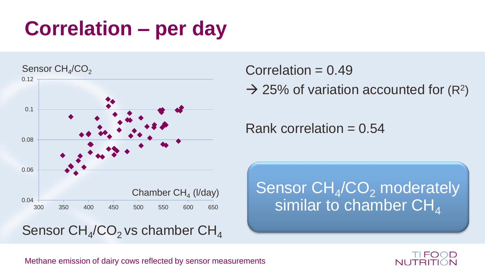# **Correlation – per day**



Correlation  $= 0.49$ 

 $\rightarrow$  25% of variation accounted for (R<sup>2</sup>)

Rank correlation  $= 0.54$ 

Sensor  $CH_4/CO_2$  moderately similar to chamber  $CH<sub>4</sub>$ 

TIFO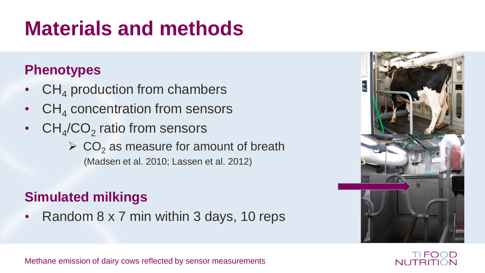# **Materials and methods**

#### **Phenotypes**

- $CH<sub>4</sub>$  production from chambers
- $CH<sub>4</sub>$  concentration from sensors
- $CH_4/CO_2$  ratio from sensors
	- $\triangleright$  CO<sub>2</sub> as measure for amount of breath (Madsen et al. 2010; Lassen et al. 2012)

### **Simulated milkings**

• Random 8 x 7 min within 3 days, 10 reps



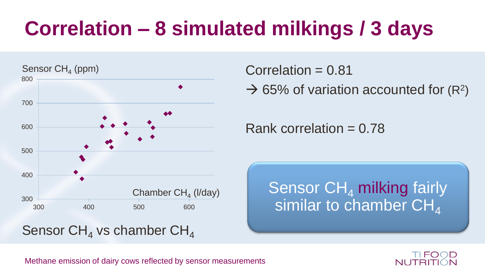# **Correlation – 8 simulated milkings / 3 days**



Correlation  $= 0.81$ 

 $\rightarrow$  65% of variation accounted for (R<sup>2</sup>)

Rank correlation  $= 0.78$ 

Sensor  $CH<sub>4</sub>$  milking fairly similar to chamber  $CH<sub>4</sub>$ 

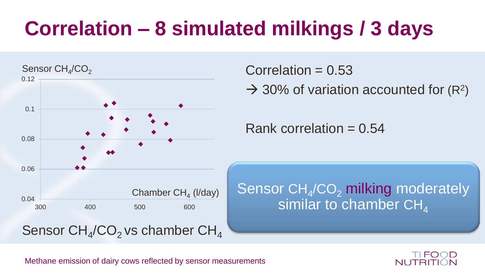# **Correlation – 8 simulated milkings / 3 days**



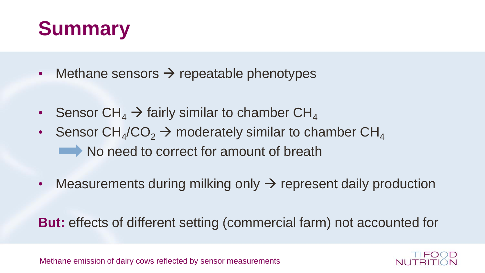## **Summary**

- Methane sensors  $\rightarrow$  repeatable phenotypes
- Sensor  $CH_4 \rightarrow$  fairly similar to chamber  $CH_4$
- Sensor  $CH_4/CO_2 \rightarrow$  moderately similar to chamber  $CH_4$ No need to correct for amount of breath
- Measurements during milking only  $\rightarrow$  represent daily production

**But:** effects of different setting (commercial farm) not accounted for